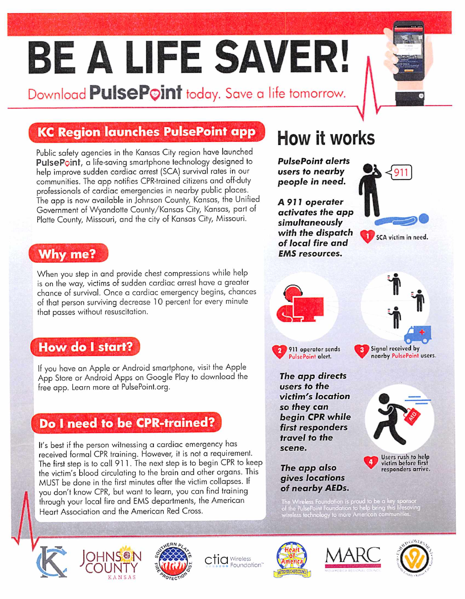# BE A LIFE SAVER!

Download **PulsePoint** today. Save a life tomorrow.

#### KC Region launches PulsePoint opp

Public safefy agencies in the Kansas City region have launched PulsePoint, a life-saving smartphone technology designed to help improve sudden cardiac arrest (SCA) survival rates in our communities. The app notifies CPR-trained citizens and off-duty professionals of cardiac emergencies in nearby public places. The app is now available in Johnson County, Kansas, the Unified Government of Wyandotte County/Kansas City, Kansas, part of Platte County, Missouri, and the city of Kansas City, Missouri.

#### Why me?

When you step in and provide chest compressions while help is on the way, victims of sudden cardiac arrest have a greater chance of survival. Once a cardiac emergency begins, chances of that person surviving decrease 10 percent for every minute that passes without resuscitation.

#### How do 1 start?

If you have on Apple or Android smartphone, visit the Apple App Store or Android Apps on Google Play to download the free app. Learn more at PulsePoint.org.

#### Do 1 need to be CPR-trained?

It's best if the person witnessing a cardiac emergency has received formal CPR training. However, it is not a requirement. The first step is to call 911. The next step is to begin CPR to keep the victim's blood circulating to the brain and other organs. This MUST be done in the first minutes after the victim collapses. If you don't know CPR, but want to learn, you can find training through your local fire and EMS departments, the American Heart Association and the American Red Cross.

#### How it works

PulsePoint alerts users to nearby people in need,

A 911 operater activates the app simultaneously with the dispatch of local fire and EMS resources.







**911 operator sends** PulsePoint olert.

nearby PulsePoint users.

The app directs users to the victim^s location so they can begin CPR while first responders travel to the scene.

The app also gives locations of nearby AEDs.

he Wireless Foundation is proud to be a key sponsor<br>I the PulsePoint Foundation to help bring this lifesaving<br>vireless technology to more American communities.







 $c$ tia Wireless







Users rush to help victim before first responders arrive.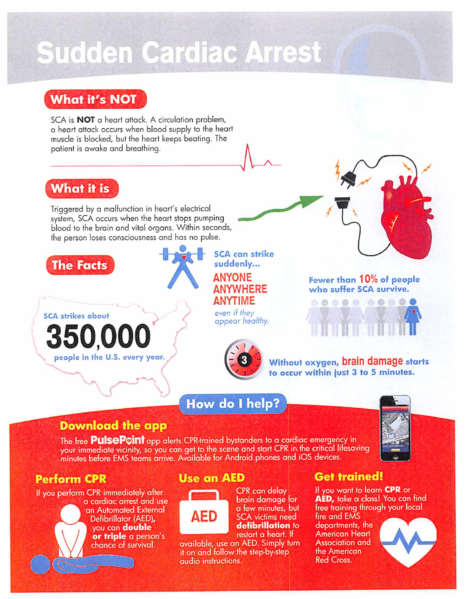### **Sudden Cardiac Arrest**

#### **What it's NOT**

SCA is **NOT** a heart attack. A circulation problem, a heart attack occurs when blood supply to the heart muscle is blocked, but the heart keeps beating. The patient is awake and breathing.

#### What it is

Triggered by a malfunction in heart's electrical system, SCA occurs when the heart stops pumping blood to the brain and vital organs. Within seconds, the person loses consciousness and has no pulse.





**SCA can strike** suddenly... **ANYONE ANYWHERE ANYTIME** even if they

appear healthy.



Fewer than 10% of people who suffer SCA survive.



Without oxygen, brain damage starts to occur within just 3 to 5 minutes.

#### How do I help?



#### **Download the app**

The free **PulsePoint** app alerts CPR-trained bystanders to a cardiac emergency in your immediate vicinity, so you can get to the scene and start CPR in the critical lifesaving minutes before EMS teams arrive. Available for Android phones and iOS devices.

#### **Perform CPR**

If you perform CPR immediately after a cardiac arrest and use an Automated External Defibrillator (AED), you can double or triple a person's chance of survival.

#### **Use an AED**



CPR can delay brain damage for a few minutes, but **SCA** victims need defibrillation to restart a heart. If

available, use an AED. Simply turn it on and follow the step-by-step audio instructions.

#### **Get trained!**

If you want to learn CPR or AED, take a class! You can find free training through your local

fire and EMS departments, the **American Heart Association and** the American **Red Cross.**